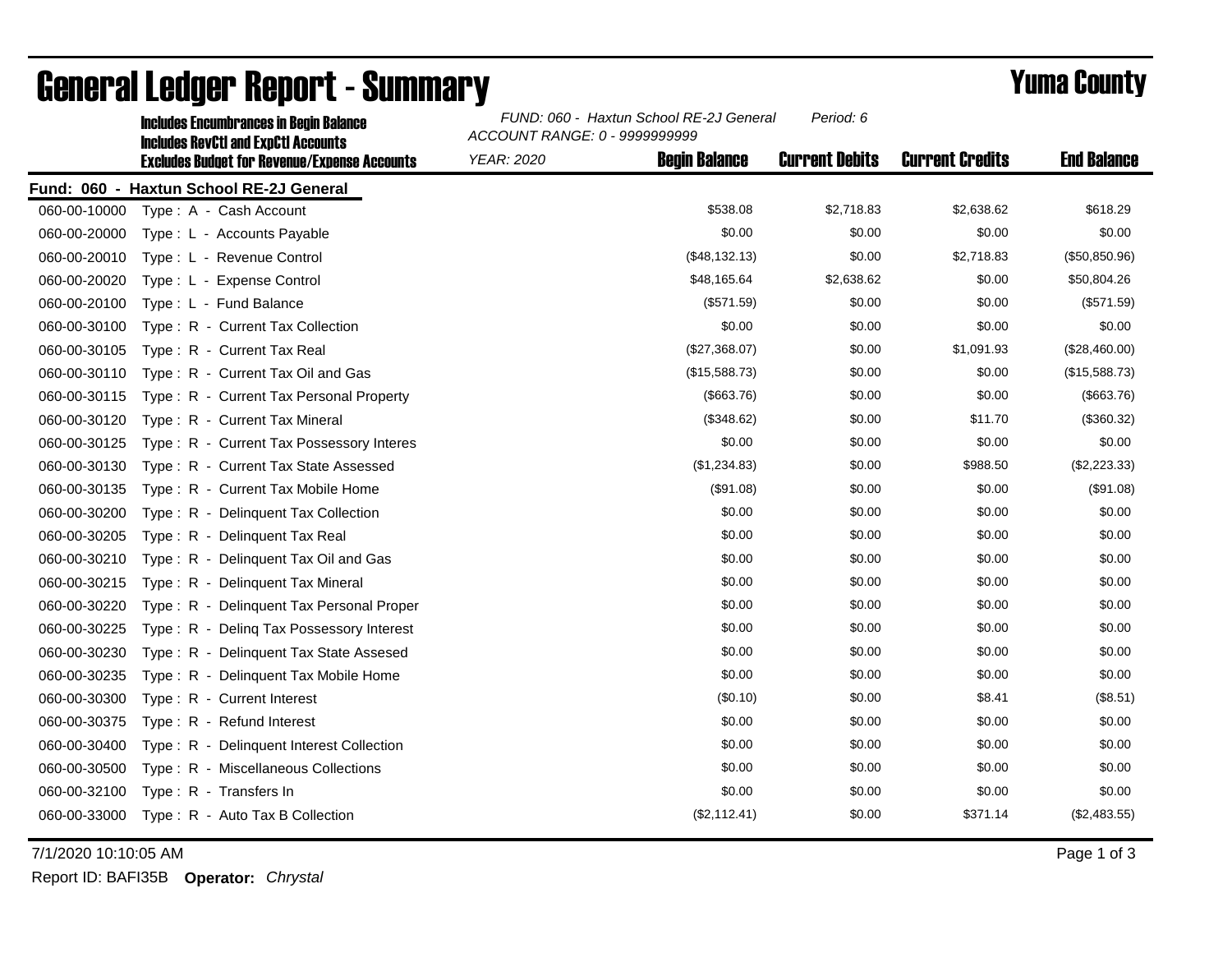|              | <b>Includes Encumbrances in Begin Balance</b><br><b>Includes RevCtI and ExpCtI Accounts</b> | FUND: 060 - Haxtun School RE-2J General<br>Period: 6<br>ACCOUNT RANGE: 0 - 9999999999 |                      |                       |                        |                    |
|--------------|---------------------------------------------------------------------------------------------|---------------------------------------------------------------------------------------|----------------------|-----------------------|------------------------|--------------------|
|              | <b>Excludes Budget for Revenue/Expense Accounts</b>                                         | <b>YEAR: 2020</b>                                                                     | <b>Begin Balance</b> | <b>Current Debits</b> | <b>Current Credits</b> | <b>End Balance</b> |
|              | Fund: 060 - Haxtun School RE-2J General                                                     |                                                                                       |                      |                       |                        |                    |
| 060-00-10000 | Type: A - Cash Account                                                                      |                                                                                       | \$538.08             | \$2,718.83            | \$2,638.62             | \$618.29           |
| 060-00-20000 | Type: L - Accounts Payable                                                                  |                                                                                       | \$0.00               | \$0.00                | \$0.00                 | \$0.00             |
| 060-00-20010 | Type: L - Revenue Control                                                                   |                                                                                       | (\$48,132.13)        | \$0.00                | \$2,718.83             | (\$50,850.96)      |
| 060-00-20020 | Type: L - Expense Control                                                                   |                                                                                       | \$48,165.64          | \$2,638.62            | \$0.00                 | \$50,804.26        |
| 060-00-20100 | Type: L - Fund Balance                                                                      |                                                                                       | (\$571.59)           | \$0.00                | \$0.00                 | (\$571.59)         |
| 060-00-30100 | Type: R - Current Tax Collection                                                            |                                                                                       | \$0.00               | \$0.00                | \$0.00                 | \$0.00             |
| 060-00-30105 | Type: R - Current Tax Real                                                                  |                                                                                       | (\$27,368.07)        | \$0.00                | \$1,091.93             | (\$28,460.00)      |
| 060-00-30110 | Type: R - Current Tax Oil and Gas                                                           |                                                                                       | (\$15,588.73)        | \$0.00                | \$0.00                 | (\$15,588.73)      |
| 060-00-30115 | Type: R - Current Tax Personal Property                                                     |                                                                                       | ( \$663.76)          | \$0.00                | \$0.00                 | (\$663.76)         |
| 060-00-30120 | Type: R - Current Tax Mineral                                                               |                                                                                       | (\$348.62)           | \$0.00                | \$11.70                | (\$360.32)         |
| 060-00-30125 | Type: R - Current Tax Possessory Interes                                                    |                                                                                       | \$0.00               | \$0.00                | \$0.00                 | \$0.00             |
| 060-00-30130 | Type: R - Current Tax State Assessed                                                        |                                                                                       | (\$1,234.83)         | \$0.00                | \$988.50               | (\$2,223.33)       |
| 060-00-30135 | Type: R - Current Tax Mobile Home                                                           |                                                                                       | (\$91.08)            | \$0.00                | \$0.00                 | (\$91.08)          |
| 060-00-30200 | Type: R - Delinquent Tax Collection                                                         |                                                                                       | \$0.00               | \$0.00                | \$0.00                 | \$0.00             |
| 060-00-30205 | Type: R - Delinguent Tax Real                                                               |                                                                                       | \$0.00               | \$0.00                | \$0.00                 | \$0.00             |
| 060-00-30210 | Type: R - Delinquent Tax Oil and Gas                                                        |                                                                                       | \$0.00               | \$0.00                | \$0.00                 | \$0.00             |
| 060-00-30215 | Type: R - Delinquent Tax Mineral                                                            |                                                                                       | \$0.00               | \$0.00                | \$0.00                 | \$0.00             |
| 060-00-30220 | Type: R - Delinguent Tax Personal Proper                                                    |                                                                                       | \$0.00               | \$0.00                | \$0.00                 | \$0.00             |
| 060-00-30225 | Type: R - Deling Tax Possessory Interest                                                    |                                                                                       | \$0.00               | \$0.00                | \$0.00                 | \$0.00             |
| 060-00-30230 | Type: R - Delinquent Tax State Assesed                                                      |                                                                                       | \$0.00               | \$0.00                | \$0.00                 | \$0.00             |
| 060-00-30235 | Type: R - Delinquent Tax Mobile Home                                                        |                                                                                       | \$0.00               | \$0.00                | \$0.00                 | \$0.00             |
| 060-00-30300 | Type: R - Current Interest                                                                  |                                                                                       | (\$0.10)             | \$0.00                | \$8.41                 | (\$8.51)           |
| 060-00-30375 | Type: R - Refund Interest                                                                   |                                                                                       | \$0.00               | \$0.00                | \$0.00                 | \$0.00             |
| 060-00-30400 | Type: R - Delinquent Interest Collection                                                    |                                                                                       | \$0.00               | \$0.00                | \$0.00                 | \$0.00             |
| 060-00-30500 | Type: R - Miscellaneous Collections                                                         |                                                                                       | \$0.00               | \$0.00                | \$0.00                 | \$0.00             |
| 060-00-32100 | Type: R - Transfers In                                                                      |                                                                                       | \$0.00               | \$0.00                | \$0.00                 | \$0.00             |
| 060-00-33000 | Type: R - Auto Tax B Collection                                                             |                                                                                       | (\$2,112.41)         | \$0.00                | \$371.14               | (\$2,483.55)       |

## General Ledger Report - Summary **Example 2018** Yuma County

7/1/2020 10:10:05 AM Page 1 of 3

Report ID: BAFI35B **Operator:** *Chrystal*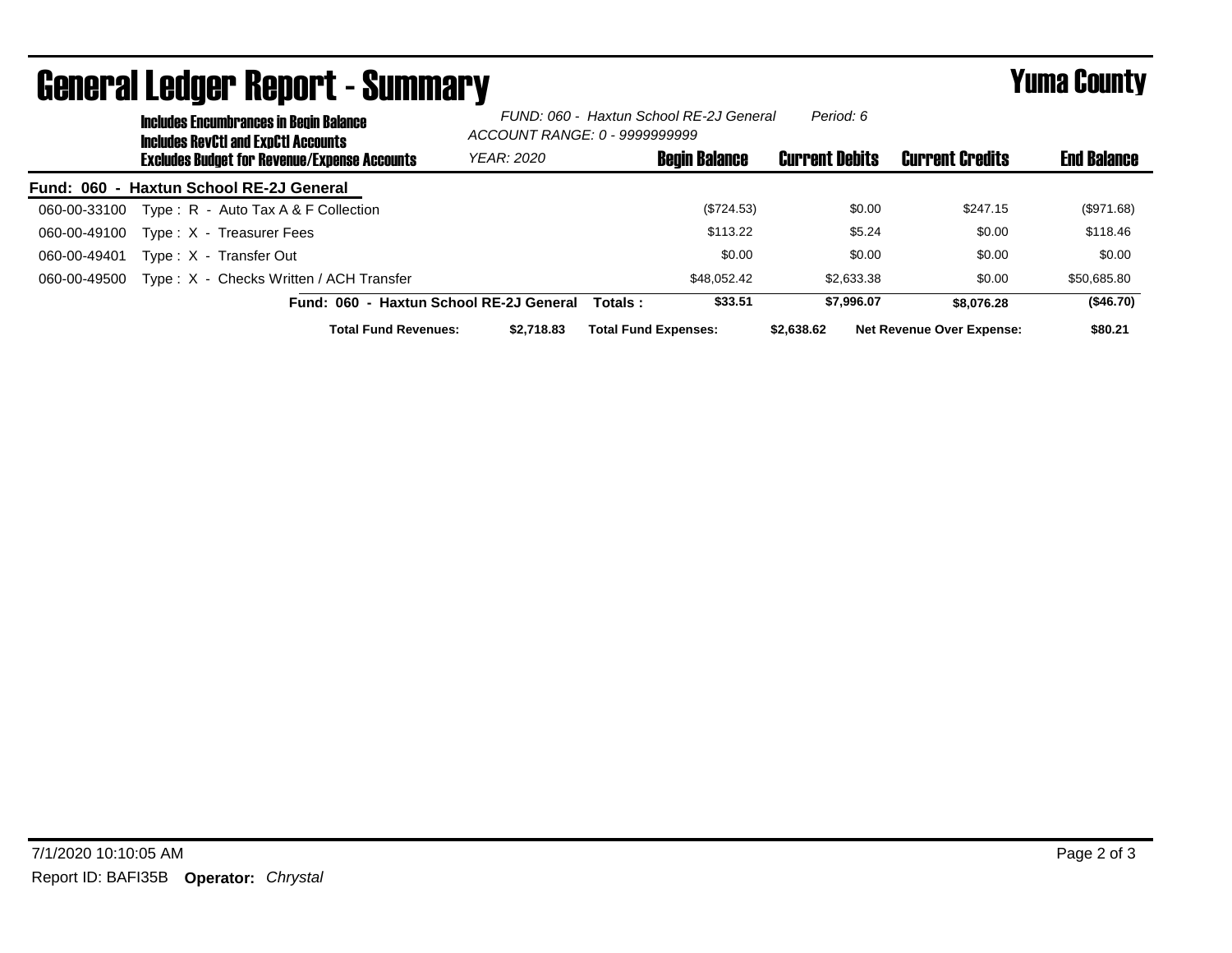|              | -- ------- -<br><b>Includes Encumbrances in Begin Balance</b><br><b>Includes RevCtI and ExpCtI Accounts</b> | FUND: 060 - Haxtun School RE-2J General<br>ACCOUNT RANGE: 0 - 9999999999 |                             |                      | Period: 6             |                                  |                    |
|--------------|-------------------------------------------------------------------------------------------------------------|--------------------------------------------------------------------------|-----------------------------|----------------------|-----------------------|----------------------------------|--------------------|
|              | <b>Excludes Budget for Revenue/Expense Accounts</b>                                                         | <b>YEAR: 2020</b>                                                        |                             | <b>Begin Balance</b> | <b>Current Debits</b> | Current Credits                  | <b>End Balance</b> |
|              | Fund: 060 - Haxtun School RE-2J General                                                                     |                                                                          |                             |                      |                       |                                  |                    |
| 060-00-33100 | Type: R - Auto Tax A & F Collection                                                                         |                                                                          |                             | $(\$724.53)$         | \$0.00                | \$247.15                         | (\$971.68)         |
| 060-00-49100 | Type: X - Treasurer Fees                                                                                    |                                                                          |                             | \$113.22             | \$5.24                | \$0.00                           | \$118.46           |
| 060-00-49401 | Type: X - Transfer Out                                                                                      |                                                                          |                             | \$0.00               | \$0.00                | \$0.00                           | \$0.00             |
| 060-00-49500 | Type: X - Checks Written / ACH Transfer                                                                     |                                                                          |                             | \$48.052.42          | \$2,633,38            | \$0.00                           | \$50,685.80        |
|              | Fund: 060 - Haxtun School RE-2J General                                                                     |                                                                          | Totals :                    | \$33.51              | \$7.996.07            | \$8,076.28                       | (\$46.70)          |
|              | <b>Total Fund Revenues:</b>                                                                                 | \$2.718.83                                                               | <b>Total Fund Expenses:</b> |                      | \$2,638,62            | <b>Net Revenue Over Expense:</b> | \$80.21            |

## General Ledger Report - Summary **Example 2018** Yuma County